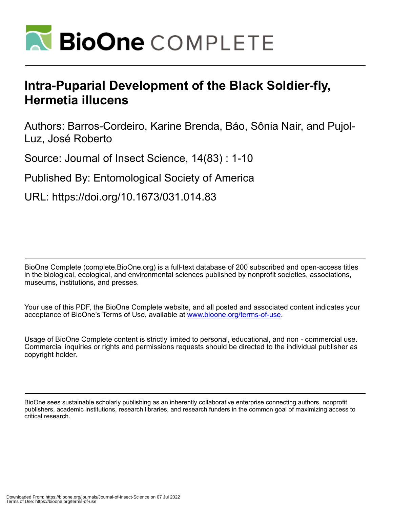

# **Intra-Puparial Development of the Black Soldier-fly, Hermetia illucens**

Authors: Barros-Cordeiro, Karine Brenda, Báo, Sônia Nair, and Pujol-Luz, José Roberto

Source: Journal of Insect Science, 14(83) : 1-10

Published By: Entomological Society of America

URL: https://doi.org/10.1673/031.014.83

BioOne Complete (complete.BioOne.org) is a full-text database of 200 subscribed and open-access titles in the biological, ecological, and environmental sciences published by nonprofit societies, associations, museums, institutions, and presses.

Your use of this PDF, the BioOne Complete website, and all posted and associated content indicates your acceptance of BioOne's Terms of Use, available at www.bioone.org/terms-of-use.

Usage of BioOne Complete content is strictly limited to personal, educational, and non - commercial use. Commercial inquiries or rights and permissions requests should be directed to the individual publisher as copyright holder.

BioOne sees sustainable scholarly publishing as an inherently collaborative enterprise connecting authors, nonprofit publishers, academic institutions, research libraries, and research funders in the common goal of maximizing access to critical research.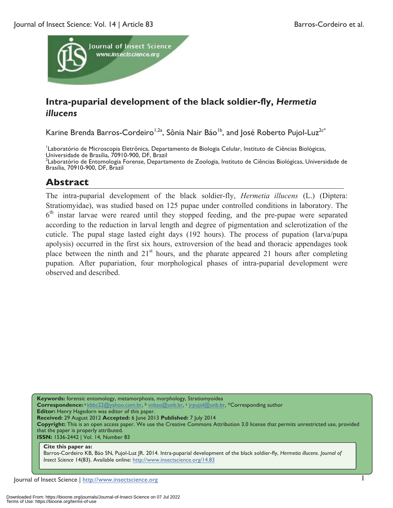

# **Intra-puparial development of the black soldier-fly,** *Hermetia illucens*

Karine Brenda Barros-Cordeiro<sup>1,2a</sup>, Sônia Nair Báo<sup>1b</sup>, and José Roberto Pujol-Luz<sup>2c\*</sup>

<sup>1</sup>Laboratório de Microscopia Eletrônica, Departamento de Biologia Celular, Instituto de Ciências Biológicas, Universidade de Brasília, 70910-900, DF, Brazil

<sup>2</sup>Laboratório de Entomologia Forense, Departamento de Zoologia, Instituto de Ciências Biológicas, Universidade de Brasília, 70910-900, DF, Brazil

## **Abstract**

The intra-puparial development of the black soldier-fly, *Hermetia illucens* (L.) (Diptera: Stratiomyidae), was studied based on 125 pupae under controlled conditions in laboratory. The  $6<sup>th</sup>$  instar larvae were reared until they stopped feeding, and the pre-pupae were separated according to the reduction in larval length and degree of pigmentation and sclerotization of the cuticle. The pupal stage lasted eight days (192 hours). The process of pupation (larva/pupa apolysis) occurred in the first six hours, extroversion of the head and thoracic appendages took place between the ninth and  $21<sup>st</sup>$  hours, and the pharate appeared 21 hours after completing pupation. After pupariation, four morphological phases of intra-puparial development were observed and described.

**Keywords:** forensic entomology, metamorphosis, morphology, Stratiomyoidea **Correspondence:** a kbbc22@yahoo.com.br, b snbao@unb.br, c jrpujol@unb.br, \*Corresponding author **Editor:** Henry Hagedorn was editor of this paper. **Received:** 29 August 2012 **Accepted:** 6 June 2013 **Published:** 7 July 2014 **Copyright:** This is an open access paper. We use the Creative Commons Attribution 3.0 license that permits unrestricted use, provided that the paper is properly attributed. **ISSN:** 1536-2442 | Vol. 14, Number 83

#### **Cite this paper as:**

Barros-Cordeiro KB, Báo SN, Pujol-Luz JR. 2014. Intra-puparial development of the black soldier-fly, *Hermetia illucens*. *Journal of Insect Science* 14(83). Available online: http://www.insectscience.org/14.83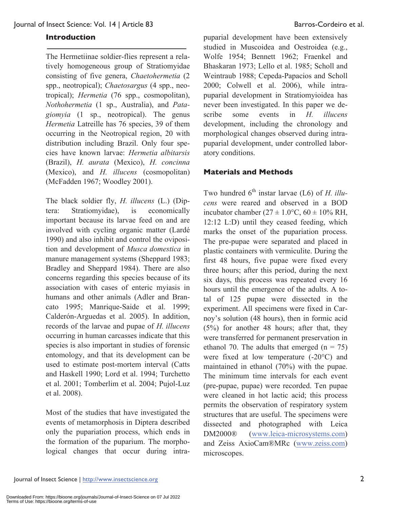#### **Introduction**

The Hermetiinae soldier-flies represent a relatively homogeneous group of Stratiomyidae consisting of five genera, *Chaetohermetia* (2 spp., neotropical); *Chaetosargus* (4 spp., neotropical); *Hermetia* (76 spp., cosmopolitan), *Nothohermetia* (1 sp., Australia), and *Patagiomyia* (1 sp., neotropical). The genus *Hermetia* Latreille has 76 species, 39 of them occurring in the Neotropical region, 20 with distribution including Brazil. Only four species have known larvae: *Hermetia albitarsis* (Brazil), *H. aurata* (Mexico), *H. concinna* (Mexico), and *H. illucens* (cosmopolitan) (McFadden 1967; Woodley 2001).

The black soldier fly, *H. illucens* (L.) (Diptera: Stratiomyidae), is economically important because its larvae feed on and are involved with cycling organic matter (Lardé 1990) and also inhibit and control the oviposition and development of *Musca domestica* in manure management systems (Sheppard 1983; Bradley and Sheppard 1984). There are also concerns regarding this species because of its association with cases of enteric myiasis in humans and other animals (Adler and Brancato 1995; Manrique-Saide et al. 1999; Calderón-Arguedas et al. 2005). In addition, records of the larvae and pupae of *H. illucens* occurring in human carcasses indicate that this species is also important in studies of forensic entomology, and that its development can be used to estimate post-mortem interval (Catts and Haskell 1990; Lord et al. 1994; Turchetto et al. 2001; Tomberlim et al. 2004; Pujol-Luz et al. 2008).

Most of the studies that have investigated the events of metamorphosis in Diptera described only the pupariation process, which ends in the formation of the puparium. The morphological changes that occur during intra-

puparial development have been extensively studied in Muscoidea and Oestroidea (e.g., Wolfe 1954; Bennett 1962; Fraenkel and Bhaskaran 1973; Lello et al. 1985; Scholl and Weintraub 1988; Cepeda-Papacios and Scholl 2000; Colwell et al. 2006), while intrapuparial development in Stratiomyioidea has never been investigated. In this paper we describe some events in *H. illucens*  development, including the chronology and morphological changes observed during intrapuparial development, under controlled laboratory conditions.

#### **Materials and Methods**

Two hundred 6<sup>th</sup> instar larvae (L6) of *H. illucens* were reared and observed in a BOD incubator chamber ( $27 \pm 1.0$ °C,  $60 \pm 10$ % RH, 12:12 L:D) until they ceased feeding, which marks the onset of the pupariation process. The pre-pupae were separated and placed in plastic containers with vermiculite. During the first 48 hours, five pupae were fixed every three hours; after this period, during the next six days, this process was repeated every 16 hours until the emergence of the adults. A total of 125 pupae were dissected in the experiment. All specimens were fixed in Carnoy's solution (48 hours), then in formic acid (5%) for another 48 hours; after that, they were transferred for permanent preservation in ethanol 70. The adults that emerged  $(n = 75)$ were fixed at low temperature (-20°C) and maintained in ethanol (70%) with the pupae. The minimum time intervals for each event (pre-pupae, pupae) were recorded. Ten pupae were cleaned in hot lactic acid; this process permits the observation of respiratory system structures that are useful. The specimens were dissected and photographed with Leica DM2000® (www.leica-microsystems.com) and Zeiss AxioCam®MRc (www.zeiss.com) microscopes.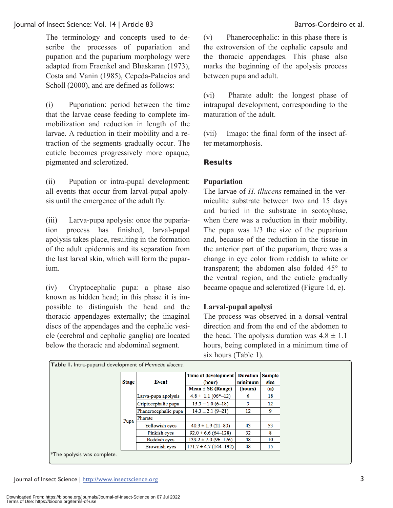The terminology and concepts used to describe the processes of pupariation and pupation and the puparium morphology were adapted from Fraenkel and Bhaskaran (1973), Costa and Vanin (1985), Cepeda-Palacios and Scholl (2000), and are defined as follows:

(i) Pupariation: period between the time that the larvae cease feeding to complete immobilization and reduction in length of the larvae. A reduction in their mobility and a retraction of the segments gradually occur. The cuticle becomes progressively more opaque, pigmented and sclerotized.

(ii) Pupation or intra-pupal development: all events that occur from larval-pupal apolysis until the emergence of the adult fly.

(iii) Larva-pupa apolysis: once the pupariation process has finished, larval-pupal apolysis takes place, resulting in the formation of the adult epidermis and its separation from the last larval skin, which will form the puparium.

(iv) Cryptocephalic pupa: a phase also known as hidden head; in this phase it is impossible to distinguish the head and the thoracic appendages externally; the imaginal discs of the appendages and the cephalic vesicle (cerebral and cephalic ganglia) are located below the thoracic and abdominal segment.

(v) Phanerocephalic: in this phase there is the extroversion of the cephalic capsule and the thoracic appendages. This phase also marks the beginning of the apolysis process between pupa and adult.

(vi) Pharate adult: the longest phase of intrapupal development, corresponding to the maturation of the adult.

(vii) Imago: the final form of the insect after metamorphosis.

#### **Results**

#### **Pupariation**

The larvae of *H. illucens* remained in the vermiculite substrate between two and 15 days and buried in the substrate in scotophase, when there was a reduction in their mobility. The pupa was 1/3 the size of the puparium and, because of the reduction in the tissue in the anterior part of the puparium, there was a change in eye color from reddish to white or transparent; the abdomen also folded 45° to the ventral region, and the cuticle gradually became opaque and sclerotized (Figure 1d, e).

#### **Larval-pupal apolysi**

The process was observed in a dorsal-ventral direction and from the end of the abdomen to the head. The apolysis duration was  $4.8 \pm 1.1$ hours, being completed in a minimum time of six hours (Table 1).

|                                   | <b>Stage</b> | Event                | Time of development<br>(hour) | <b>Duration</b><br>minimum | <b>Sample</b><br>size |
|-----------------------------------|--------------|----------------------|-------------------------------|----------------------------|-----------------------|
|                                   |              |                      | Mean ± SE (Range)             | (hours)                    | (n)                   |
|                                   |              | Larva-pupa apolysis  | $4.8 \pm 1.1$ (06*-12)        | 6                          | 18                    |
|                                   | Pupa         | Criptocephalic pupa  | $15.3 \pm 1.0$ (6-18)         | 3                          | 12                    |
|                                   |              | Phanerocephalic pupa | $14.3 \pm 2.1 (9 - 21)$       | 12                         | 9                     |
|                                   |              | Pharate              |                               |                            |                       |
|                                   |              | Yellowish eyes       | $40.3 \pm 1.9(21 - 80)$       | 43                         | 53                    |
|                                   |              | Pinkish eyes         | $92.0 \pm 6.6$ (64-128)       | 32                         | 8                     |
|                                   |              | Reddish eyes         | $139.2 \pm 7.0$ (96-176)      | 48                         | 10                    |
|                                   |              | Brownish eyes        | $171.7 \pm 4.7$ (144-192)     | 48                         | 15                    |
| $\ast$ The apolysis was complete. |              |                      |                               |                            |                       |

**Table 1.** Intra-puparial development of *Hermetia illucens.*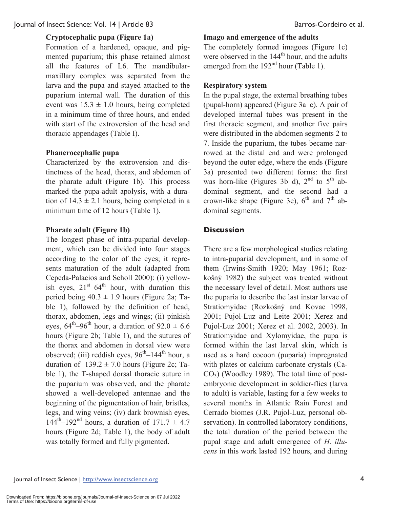#### **Cryptocephalic pupa (Figure 1a)**

Formation of a hardened, opaque, and pigmented puparium; this phase retained almost all the features of L6. The mandibularmaxillary complex was separated from the larva and the pupa and stayed attached to the puparium internal wall. The duration of this event was  $15.3 \pm 1.0$  hours, being completed in a minimum time of three hours, and ended with start of the extroversion of the head and thoracic appendages (Table I).

#### **Phanerocephalic pupa**

Characterized by the extroversion and distinctness of the head, thorax, and abdomen of the pharate adult (Figure 1b). This process marked the pupa-adult apolysis, with a duration of  $14.3 \pm 2.1$  hours, being completed in a minimum time of 12 hours (Table 1).

#### **Pharate adult (Figure 1b)**

The longest phase of intra-puparial development, which can be divided into four stages according to the color of the eyes; it represents maturation of the adult (adapted from Cepeda-Palacios and Scholl 2000): (i) yellowish eyes,  $21<sup>st</sup> – 64<sup>th</sup>$  hour, with duration this period being  $40.3 \pm 1.9$  hours (Figure 2a; Table 1), followed by the definition of head, thorax, abdomen, legs and wings; (ii) pinkish eyes,  $64^{\text{th}} - 96^{\text{th}}$  hour, a duration of  $92.0 \pm 6.6$ hours (Figure 2b; Table 1), and the sutures of the thorax and abdomen in dorsal view were observed; (iii) reddish eyes,  $96<sup>th</sup>-144<sup>th</sup>$  hour, a duration of  $139.2 \pm 7.0$  hours (Figure 2c; Table 1), the T-shaped dorsal thoracic suture in the puparium was observed, and the pharate showed a well-developed antennae and the beginning of the pigmentation of hair, bristles, legs, and wing veins; (iv) dark brownish eyes,  $144^{\text{th}} - 192^{\text{nd}}$  hours, a duration of  $171.7 \pm 4.7$ hours (Figure 2d; Table 1), the body of adult was totally formed and fully pigmented.

#### **Imago and emergence of the adults**

The completely formed imagoes (Figure 1c) were observed in the 144<sup>th</sup> hour, and the adults emerged from the  $192<sup>nd</sup>$  hour (Table 1).

#### **Respiratory system**

In the pupal stage, the external breathing tubes (pupal-horn) appeared (Figure 3a–c). A pair of developed internal tubes was present in the first thoracic segment, and another five pairs were distributed in the abdomen segments 2 to 7. Inside the puparium, the tubes became narrowed at the distal end and were prolonged beyond the outer edge, where the ends (Figure 3a) presented two different forms: the first was horn-like (Figures 3b–d),  $2<sup>nd</sup>$  to  $5<sup>th</sup>$  abdominal segment, and the second had a crown-like shape (Figure 3e),  $6<sup>th</sup>$  and  $7<sup>th</sup>$  abdominal segments.

#### **Discussion**

There are a few morphological studies relating to intra-puparial development, and in some of them (Irwins-Smith 1920; May 1961; Rozkošný 1982) the subject was treated without the necessary level of detail. Most authors use the puparia to describe the last instar larvae of Stratiomyidae (Rozkošný and Kovac 1998, 2001; Pujol-Luz and Leite 2001; Xerez and Pujol-Luz 2001; Xerez et al. 2002, 2003). In Stratiomyidae and Xylomyidae, the pupa is formed within the last larval skin, which is used as a hard cocoon (puparia) impregnated with plates or calcium carbonate crystals (Ca- $CO<sub>3</sub>$ ) (Woodley 1989). The total time of postembryonic development in soldier-flies (larva to adult) is variable, lasting for a few weeks to several months in Atlantic Rain Forest and Cerrado biomes (J.R. Pujol-Luz, personal observation). In controlled laboratory conditions, the total duration of the period between the pupal stage and adult emergence of *H. illucens* in this work lasted 192 hours, and during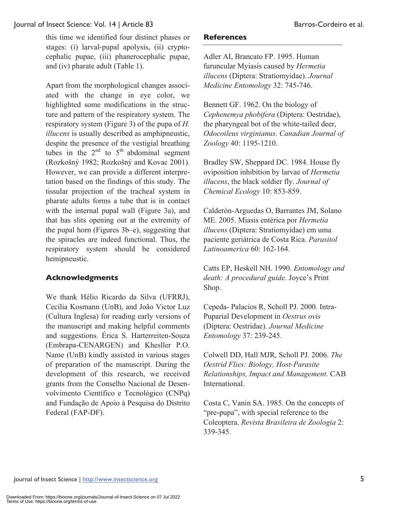this time we identified four distinct phases or stages: (i) larval-pupal apolysis, (ii) cryptocephalic pupae, (iii) phanerocephalic pupae, and (iv) pharate adult (Table 1).

Apart from the morphological changes associated with the change in eye color, we highlighted some modifications in the structure and pattern of the respiratory system. The respiratory system (Figure 3) of the pupa of *H. illucens* is usually described as amphipneustic, despite the presence of the vestigial breathing tubes in the  $2<sup>nd</sup>$  to  $5<sup>th</sup>$  abdominal segment (Rozkošný 1982; Rozkošný and Kovac 2001). However, we can provide a different interpretation based on the findings of this study. The tissular projection of the tracheal system in pharate adults forms a tube that is in contact with the internal pupal wall (Figure 3a), and that has slits opening out at the extremity of the pupal horn (Figures 3b–e), suggesting that the spiracles are indeed functional. Thus, the respiratory system should be considered hemipneustic.

### **Acknowledgments**

We thank Hélio Ricardo da Silva (UFRRJ), Cecília Kosmann (UnB), and João Victor Luz (Cultura Inglesa) for reading early versions of the manuscript and making helpful comments and suggestions. Érica S. Harterreiten-Souza (Embrapa-CENARGEN) and Khesller P.O. Name (UnB) kindly assisted in various stages of preparation of the manuscript. During the development of this research, we received grants from the Conselho Nacional de Desenvolvimento Científico e Tecnológico (CNPq) and Fundação de Apoio à Pesquisa do Distrito Federal (FAP-DF).

#### **References**

Adler AI, Brancato FP. 1995. Human furuncular Myiasis caused by *Hermetia illucens* (Diptera: Stratiomyidae). *Journal Medicine Entomology* 32: 745-746.

Bennett GF. 1962. On the biology of *Cephenemya phobifera* (Diptera: Oestridae), the pharyngeal bot of the white-tailed deer, *Odocoileus virginianus. Canadian Journal of Zoology* 40: 1195-1210.

Bradley SW, Sheppard DC. 1984. House fly oviposition inhibition by larvae of *Hermetia illucens*, the black soldier fly. *Journal of Chemical Ecology* 10: 853-859.

Calderón-Arguedas O, Barrantes JM, Solano ME. 2005. Miasis entérica por *Hermetia illucens* (Diptera: Stratiomyidae) em uma paciente geriátrica de Costa Rica. *Parasitol Latinoamerica* 60: 162-164.

Catts EP, Heskell NH. 1990. *Entomology and death: A procedural guide*. Joyce's Print Shop.

Cepeda- Palacios R, Scholl PJ. 2000. Intra-Puparial Development in *Oestrus ovis*  (Diptera: Oestridae). *Journal Medicine Entomology* 37: 239-245.

Colwell DD, Hall MJR, Scholl PJ. 2006. *The Oestrid Flies: Biology, Host-Parasite Relationships, Impact and Management*. CAB International.

Costa C, Vanin SA. 1985. On the concepts of "pre-pupa", with special reference to the Coleoptera. *Revista Brasileira de Zoologia* 2: 339-345.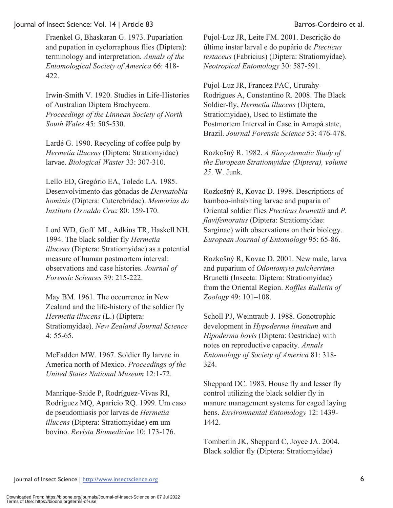422.

Fraenkel G, Bhaskaran G. 1973. Pupariation and pupation in cyclorraphous flies (Diptera): terminology and interpretation*. Annals of the Entomological Society of America* 66: 418-

Irwin-Smith V. 1920. Studies in Life-Histories of Australian Diptera Brachycera. *Proceedings of the Linnean Society of North South Wales* 45: 505-530.

Lardé G. 1990. Recycling of coffee pulp by *Hermetia illucens* (Diptera: Stratiomyidae) larvae. *Biological Waster* 33: 307-310.

Lello ED, Gregório EA, Toledo LA. 1985. Desenvolvimento das gônadas de *Dermatobia hominis* (Diptera: Cuterebridae). *Memórias do Instituto Oswaldo Cruz* 80: 159-170.

Lord WD, Goff ML, Adkins TR, Haskell NH. 1994. The black soldier fly *Hermetia illucens* (Diptera: Stratiomyidae) as a potential measure of human postmortem interval: observations and case histories. *Journal of Forensic Sciences* 39: 215-222.

May BM. 1961. The occurrence in New Zealand and the life-history of the soldier fly *Hermetia illucens* (L.) (Diptera: Stratiomyidae). *New Zealand Journal Science* 4: 55-65.

McFadden MW. 1967. Soldier fly larvae in America north of Mexico. *Proceedings of the United States National Museum* 12:1-72.

Manrique-Saide P, Rodríguez-Vivas RI, Rodríguez MQ, Aparicio RQ. 1999. Um caso de pseudomiasis por larvas de *Hermetia illucens* (Diptera: Stratiomyidae) em um bovino. *Revista Biomedicine* 10: 173-176.

Pujol-Luz JR, Leite FM. 2001. Descrição do último ínstar larval e do pupário de *Ptecticus testaceus* (Fabricius) (Diptera: Stratiomyidae). *Neotropical Entomology* 30: 587-591.

Pujol-Luz JR, Francez PAC, Ururahy-Rodrigues A, Constantino R. 2008. The Black Soldier-fly, *Hermetia illucens* (Diptera, Stratiomyidae), Used to Estimate the Postmortem Interval in Case in Amapá state, Brazil. *Journal Forensic Science* 53: 476-478.

Rozkošný R. 1982. *A Biosystematic Study of the European Stratiomyidae (Diptera), volume 25*. W. Junk.

Rozkošný R, Kovac D. 1998. Descriptions of bamboo-inhabiting larvae and puparia of Oriental soldier flies *Ptecticus brunettii* and *P. flavifemoratus* (Diptera: Stratiomyidae: Sarginae) with observations on their biology. *European Journal of Entomology* 95: 65-86.

Rozkošný R, Kovac D. 2001. New male, larva and puparium of *Odontomyia pulcherrima* Brunetti (Insecta: Diptera: Stratiomyidae) from the Oriental Region. *Raffles Bulletin of Zoology* 49: 101–108.

Scholl PJ, Weintraub J. 1988. Gonotrophic development in *Hypoderma lineatum* and *Hipoderma bovis* (Diptera: Oestridae) with notes on reproductive capacity. *Annals Entomology of Society of America* 81: 318- 324.

Sheppard DC. 1983. House fly and lesser fly control utilizing the black soldier fly in manure management systems for caged laying hens. *Environmental Entomology* 12: 1439- 1442.

Tomberlin JK, Sheppard C, Joyce JA. 2004. Black soldier fly (Diptera: Stratiomyidae)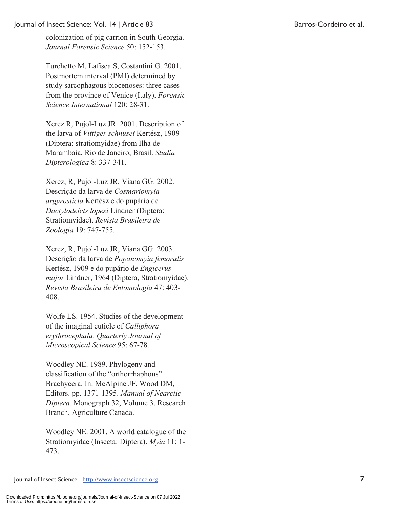colonization of pig carrion in South Georgia. *Journal Forensic Science* 50: 152-153.

Turchetto M, Lafisca S, Costantini G. 2001. Postmortem interval (PMI) determined by study sarcophagous biocenoses: three cases from the province of Venice (Italy). *Forensic Science International* 120: 28-31.

Xerez R, Pujol-Luz JR. 2001. Description of the larva of *Vittiger schnusei* Kertész, 1909 (Diptera: stratiomyidae) from Ilha de Marambaia, Rio de Janeiro, Brasil. *Studia Dipterologica* 8: 337-341.

Xerez, R, Pujol-Luz JR, Viana GG. 2002. Descrição da larva de *Cosmariomyia argyrosticta* Kertész e do pupário de *Dactylodeicts lopesi* Lindner (Diptera: Stratiomyidae). *Revista Brasileira de Zoologia* 19: 747-755.

Xerez, R, Pujol-Luz JR, Viana GG. 2003. Descrição da larva de *Popanomyia femoralis*  Kertész, 1909 e do pupário de *Engicerus major* Lindner, 1964 (Diptera, Stratiomyidae). *Revista Brasileira de Entomologia* 47: 403- 408.

Wolfe LS. 1954. Studies of the development of the imaginal cuticle of *Calliphora erythrocephala*. *Quarterly Journal of Microscopical Science* 95: 67-78.

Woodley NE. 1989. Phylogeny and classification of the "orthorrhaphous" Brachycera. In: McAlpine JF, Wood DM, Editors. pp. 1371-1395. *Manual of Nearctic Diptera.* Monograph 32, Volume 3. Research Branch, Agriculture Canada.

Woodley NE. 2001. A world catalogue of the Stratiornyidae (Insecta: Diptera). *Myia* 11: 1- 473.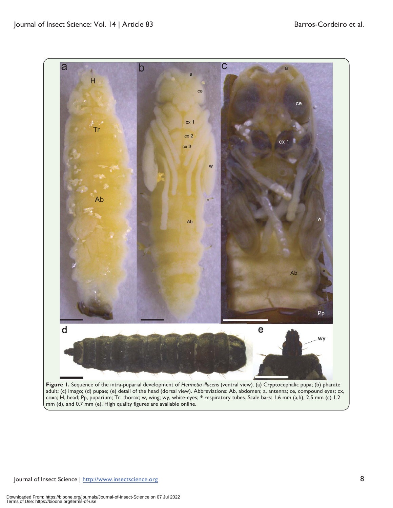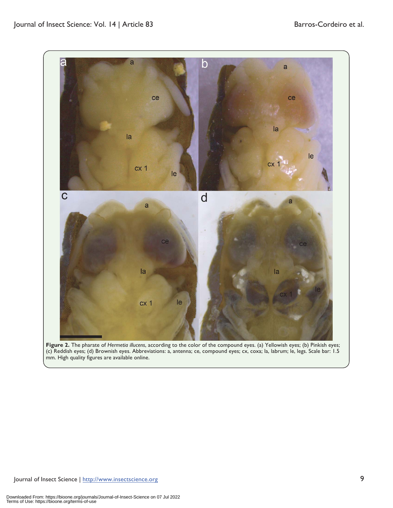

**Figure 2.** The pharate of *Hermetia illucens*, according to the color of the compound eyes. (a) Yellowish eyes; (b) Pinkish eyes; (c) Reddish eyes; (d) Brownish eyes. Abbreviations: a, antenna; ce, compound eyes; cx, coxa; la, labrum; le, legs. Scale bar: 1.5 mm. High quality figures are available online.